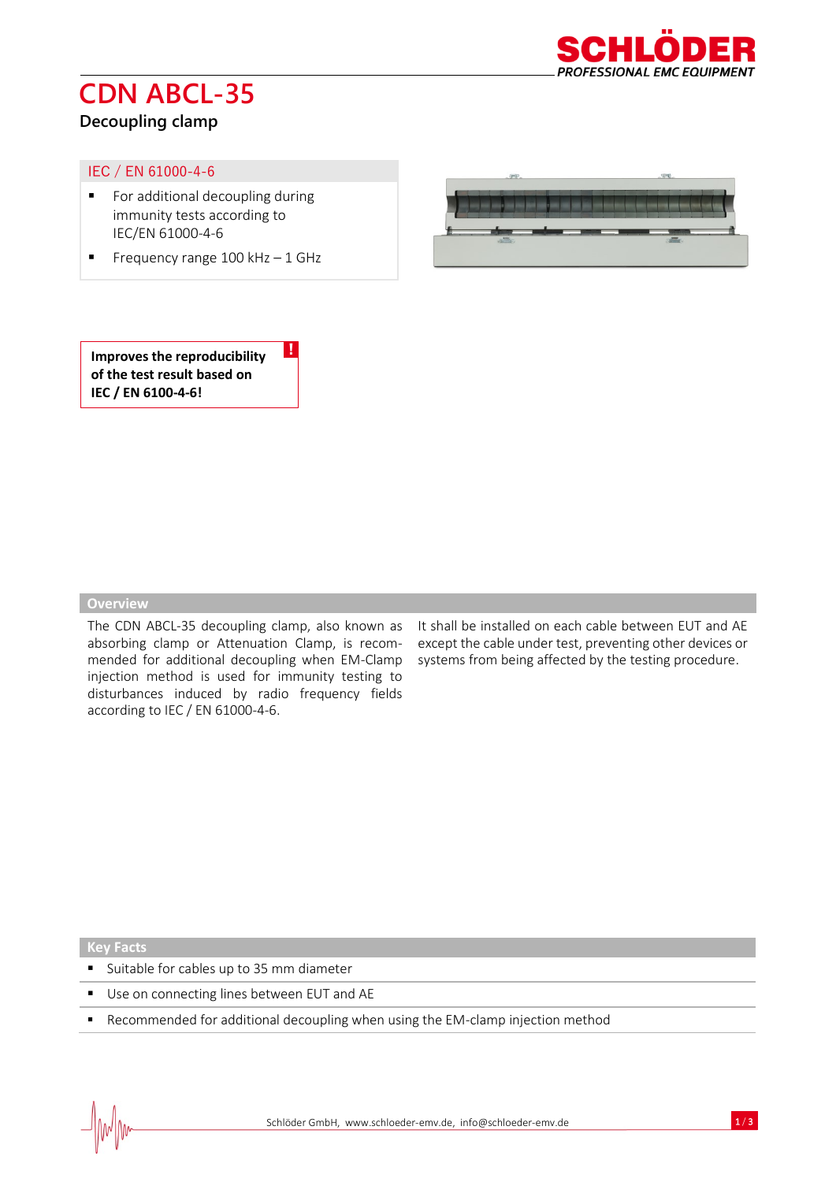

## **CDN ABCL-35**

### **Decoupling clamp**

### IEC / EN 61000-4-6

- For additional decoupling during immunity tests according to IEC/EN 61000-4-6
- **•** Frequency range  $100$  kHz  $-1$  GHz

!



**Improves the reproducibility of the test result based on IEC / EN 6100-4-6!**

#### **Overview**

The CDN ABCL-35 decoupling clamp, also known as absorbing clamp or Attenuation Clamp, is recommended for additional decoupling when EM-Clamp injection method is used for immunity testing to disturbances induced by radio frequency fields according to IEC / EN 61000-4-6.

It shall be installed on each cable between EUT and AE except the cable under test, preventing other devices or systems from being affected by the testing procedure.

**Key Facts**

- Suitable for cables up to 35 mm diameter
- Use on connecting lines between EUT and AE
- Recommended for additional decoupling when using the EM-clamp injection method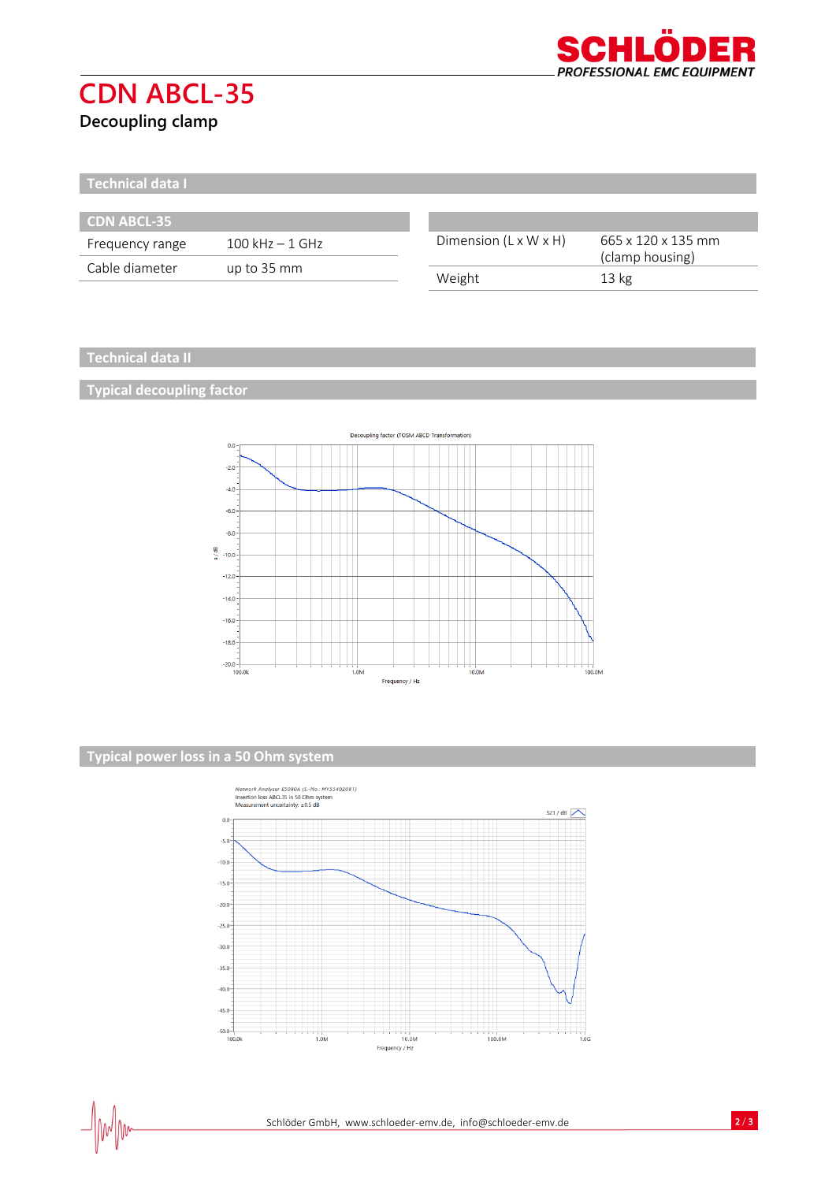

# **CDN ABCL-35**

**Decoupling clamp**

**Technical data I**

| <b>CDN ABCL-35</b> |                    |                                   |                                                          |
|--------------------|--------------------|-----------------------------------|----------------------------------------------------------|
| Frequency range    | $100$ kHz $-1$ GHz | Dimension $(L \times W \times H)$ | 665 x 120 x 135 mm<br>(clamp housing)<br>$13 \text{ kg}$ |
| Cable diameter     | up to 35 mm        |                                   |                                                          |
|                    |                    | Weight                            |                                                          |

### **Technical data II**

**Typical decoupling factor**



### **Typical power loss in a 50 Ohm system**

 $\Box$